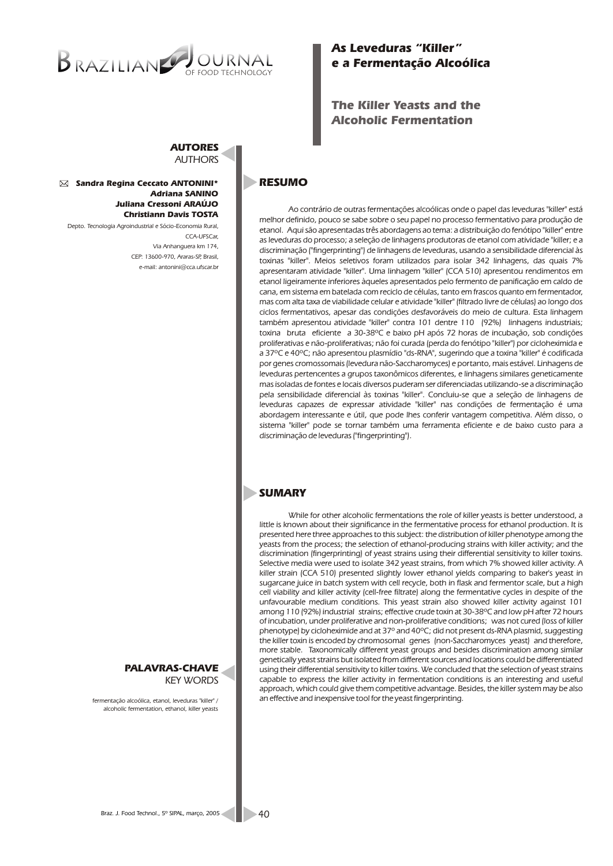# BRAZILIANO OF FOOD TECHNOLOGY

# *As Leveduras "Killer" e a Fermentação Alcoólica*

# *The Killer Yeasts and the Alcoholic Fermentation*

#### *AUTORES AUTHORS*

#### *Sandra Regina Ceccato ANTONINI\* Adriana SANINO Juliana Cressoni ARAÚJO Christiann Davis TOSTA*

*Depto. Tecnologia Agroindustrial e Sócio-Economia Rural, CCA-UFSCar, Via Anhanguera km 174, CEP: 13600-970, Araras-SP, Brasil, e-mail: antonini@cca.ufscar.br* 

## **RESUMO**

*Ao contrário de outras fermentações alcoólicas onde o papel das leveduras "killer" está melhor definido, pouco se sabe sobre o seu papel no processo fermentativo para produção de etanol. Aqui são apresentadas três abordagens ao tema: a distribuição do fenótipo "killer" entre as leveduras do processo; a seleção de linhagens produtoras de etanol com atividade "killer; e a discriminação ("fingerprinting") de linhagens de leveduras, usando a sensibilidade diferencial às toxinas "killer". Meios seletivos foram utilizados para isolar 342 linhagens, das quais 7% apresentaram atividade "killer". Uma linhagem "killer" (CCA 510) apresentou rendimentos em etanol ligeiramente inferiores àqueles apresentados pelo fermento de panificação em caldo de cana, em sistema em batelada com reciclo de células, tanto em frascos quanto em fermentador, mas com alta taxa de viabilidade celular e atividade "killer" (filtrado livre de células) ao longo dos ciclos fermentativos, apesar das condições desfavoráveis do meio de cultura. Esta linhagem também apresentou atividade "killer" contra 101 dentre 110 (92%) linhagens industriais; toxina bruta eficiente a 30-38ºC e baixo pH após 72 horas de incubação, sob condições proliferativas e não-proliferativas; não foi curada (perda do fenótipo "killer") por cicloheximida e a 37ºC e 40ºC; não apresentou plasmídio "ds-RNA", sugerindo que a toxina "killer" é codificada por genes cromossomais (levedura não-Saccharomyces) e portanto, mais estável. Linhagens de leveduras pertencentes a grupos taxonômicos diferentes, e linhagens similares geneticamente mas isoladas de fontes e locais diversos puderam ser diferenciadas utilizando-se a discriminação pela sensibilidade diferencial às toxinas "killer". Concluiu-se que a seleção de linhagens de leveduras capazes de expressar atividade "killer" nas condições de fermentação é uma abordagem interessante e útil, que pode lhes conferir vantagem competitiva. Além disso, o sistema "killer" pode se tornar também uma ferramenta eficiente e de baixo custo para a discriminação de leveduras ("fingerprinting").*

# *SUMARY*

*While for other alcoholic fermentations the role of killer yeasts is better understood, a*  little is known about their significance in the fermentative process for ethanol production. It is *presented here three approaches to this subject: the distribution of killer phenotype among the yeasts from the process; the selection of ethanol-producing strains with killer activity; and the discrimination (fingerprinting) of yeast strains using their differential sensitivity to killer toxins. Selective media were used to isolate 342 yeast strains, from which 7% showed killer activity. A killer strain (CCA 510) presented slightly lower ethanol yields comparing to baker's yeast in sugarcane juice in batch system with cell recycle, both in flask and fermentor scale, but a high cell viability and killer activity (cell-free filtrate) along the fermentative cycles in despite of the unfavourable medium conditions. This yeast strain also showed killer activity against 101 among 110 (92%) industrial strains; effective crude toxin at 30-38ºC and low pH after 72 hours of incubation, under proliferative and non-proliferative conditions; was not cured (loss of killer phenotype) by cicloheximide and at 37º and 40ºC; did not present ds-RNA plasmid, suggesting the killer toxin is encoded by chromosomal genes (non-Saccharomyces yeast) and therefore, more stable. Taxonomically different yeast groups and besides discrimination among similar genetically yeast strains but isolated from different sources and locations could be differentiated using their differential sensitivity to killer toxins. We concluded that the selection of yeast strains capable to express the killer activity in fermentation conditions is an interesting and useful approach, which could give them competitive advantage. Besides, the killer system may be also an effective and inexpensive tool for the yeast fingerprinting. fermentação alcoólica, etanol, leveduras "killer" /* 

*PALAVRAS-CHAVE KEY WORDS*

*alcoholic fermentation, ethanol, killer yeasts*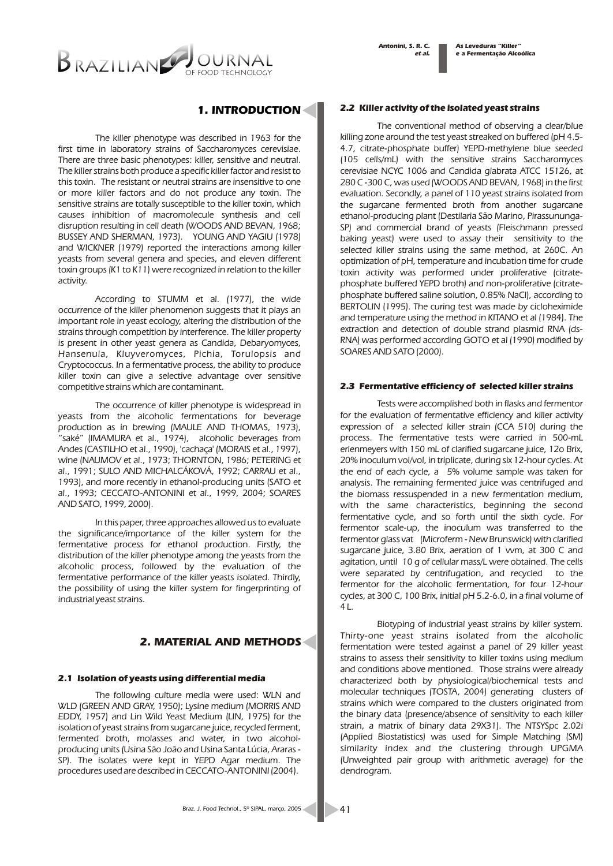

## *1. INTRODUCTION*

*The killer phenotype was described in 1963 for the first time in laboratory strains of Saccharomyces cerevisiae. There are three basic phenotypes: killer, sensitive and neutral. The killer strains both produce a specific killer factor and resist to this toxin. The resistant or neutral strains are insensitive to one or more killer factors and do not produce any toxin. The sensitive strains are totally susceptible to the killer toxin, which causes inhibition of macromolecule synthesis and cell disruption resulting in cell death (WOODS AND BEVAN, 1968; BUSSEY AND SHERMAN, 1973). YOUNG AND YAGIU (1978) and WICKNER (1979) reported the interactions among killer yeasts from several genera and species, and eleven different toxin groups (K1 to K11) were recognized in relation to the killer activity.*

*According to STUMM et al. (1977), the wide occurrence of the killer phenomenon suggests that it plays an important role in yeast ecology, altering the distribution of the strains through competition by interference. The killer property is present in other yeast genera as Candida, Debaryomyces, Hansenula, Kluyveromyces, Pichia, Torulopsis and Cryptococcus. In a fermentative process, the ability to produce killer toxin can give a selective advantage over sensitive competitive strains which are contaminant.*

*The occurrence of killer phenotype is widespread in yeasts from the alcoholic fermentations for beverage production as in brewing (MAULE AND THOMAS, 1973), "saké" (IMAMURA et al., 1974), alcoholic beverages from Andes (CASTILHO et al., 1990), 'cachaça' (MORAIS et al., 1997), wine (NAUMOV et al., 1973; THORNTON, 1986; PETERING et al., 1991; SULO AND MICHALCÁKOVÁ, 1992; CARRAU et al., 1993), and more recently in ethanol-producing units (SATO et al., 1993; CECCATO-ANTONINI et al., 1999, 2004; SOARES AND SATO, 1999, 2000).*

*In this paper, three approaches allowed us to evaluate the significance/importance of the killer system for the fermentative process for ethanol production. Firstly, the distribution of the killer phenotype among the yeasts from the alcoholic process, followed by the evaluation of the fermentative performance of the killer yeasts isolated. Thirdly, the possibility of using the killer system for fingerprinting of industrial yeast strains.* 

### *2. MATERIAL AND METHODS*

#### *2.1 Isolation of yeasts using differential media*

*The following culture media were used: WLN and WLD (GREEN AND GRAY, 1950); Lysine medium (MORRIS AND EDDY, 1957) and Lin Wild Yeast Medium (LIN, 1975) for the isolation of yeast strains from sugarcane juice, recycled ferment, fermented broth, molasses and water, in two alcoholproducing units (Usina São João and Usina Santa Lúcia, Araras - SP). The isolates were kept in YEPD Agar medium. The procedures used are described in CECCATO-ANTONINI (2004).*

#### *2.2 Killer activity of the isolated yeast strains*

*The conventional method of observing a clear/blue killing zone around the test yeast streaked on buffered (pH 4.5- 4.7, citrate-phosphate buffer) YEPD-methylene blue seeded (105 cells/mL) with the sensitive strains Saccharomyces cerevisiae NCYC 1006 and Candida glabrata ATCC 15126, at 280 C -300 C, was used (WOODS AND BEVAN, 1968) in the first evaluation. Secondly, a panel of 110 yeast strains isolated from the sugarcane fermented broth from another sugarcane ethanol-producing plant (Destilaria São Marino, Pirassununga-SP) and commercial brand of yeasts (Fleischmann pressed baking yeast) were used to assay their sensitivity to the selected killer strains using the same method, at 260C. An optimization of pH, temperature and incubation time for crude toxin activity was performed under proliferative (citratephosphate buffered YEPD broth) and non-proliferative (citratephosphate buffered saline solution, 0.85% NaCl), according to BERTOLIN (1995). The curing test was made by cicloheximide and temperature using the method in KITANO et al (1984). The extraction and detection of double strand plasmid RNA (ds-RNA) was performed according GOTO et al (1990) modified by SOARES AND SATO (2000).*

#### *2.3 Fermentative efficiency of selected killer strains*

*Tests were accomplished both in flasks and fermentor for the evaluation of fermentative efficiency and killer activity expression of a selected killer strain (CCA 510) during the process. The fermentative tests were carried in 500-mL erlenmeyers with 150 mL of clarified sugarcane juice, 12o Brix, 20% inoculum vol/vol, in triplicate, during six 12-hour cycles. At the end of each cycle, a 5% volume sample was taken for analysis. The remaining fermented juice was centrifuged and the biomass ressuspended in a new fermentation medium, with the same characteristics, beginning the second fermentative cycle, and so forth until the sixth cycle. For fermentor scale-up, the inoculum was transferred to the fermentor glass vat (Microferm - New Brunswick) with clarified sugarcane juice, 3.80 Brix, aeration of 1 vvm, at 300 C and agitation, until 10 g of cellular mass/L were obtained. The cells were separated by centrifugation, and recycled to the fermentor for the alcoholic fermentation, for four 12-hour cycles, at 300 C, 100 Brix, initial pH 5.2-6.0, in a final volume of 4 L.*

*Biotyping of industrial yeast strains by killer system. Thirty-one yeast strains isolated from the alcoholic fermentation were tested against a panel of 29 killer yeast strains to assess their sensitivity to killer toxins using medium and conditions above mentioned. Those strains were already characterized both by physiological/biochemical tests and molecular techniques (TOSTA, 2004) generating clusters of strains which were compared to the clusters originated from the binary data (presence/absence of sensitivity to each killer strain, a matrix of binary data 29X31). The NTSYSpc 2.02i (Applied Biostatistics) was used for Simple Matching (SM) similarity index and the clustering through UPGMA (Unweighted pair group with arithmetic average) for the dendrogram.*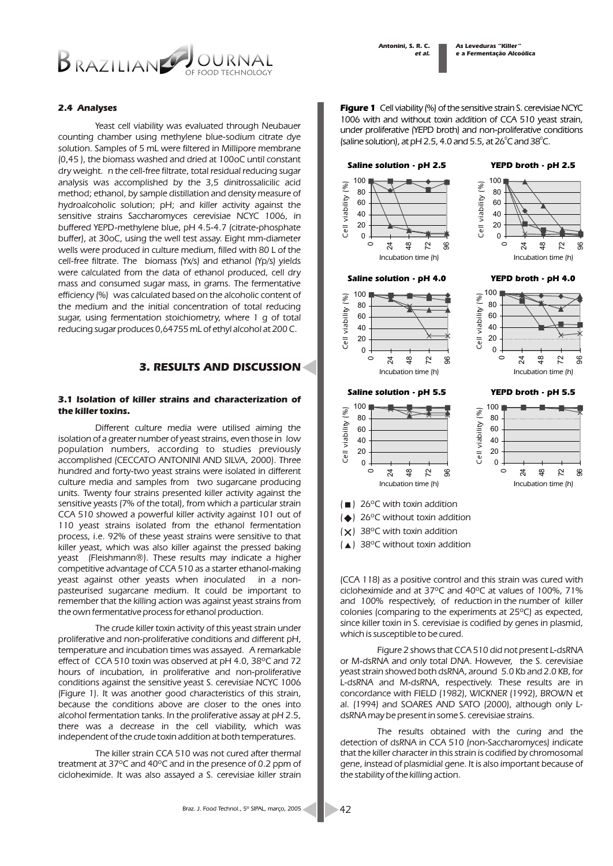

#### *2.4 Analyses*

*Yeast cell viability was evaluated through Neubauer counting chamber using methylene blue-sodium citrate dye solution. Samples of 5 mL were filtered in Millipore membrane (0,45 ), the biomass washed and dried at 100oC until constant dry weight. n the cell-free filtrate, total residual reducing sugar analysis was accomplished by the 3,5 dinitrossalicilic acid method; ethanol, by sample distillation and density measure of hydroalcoholic solution; pH; and killer activity against the sensitive strains Saccharomyces cerevisiae NCYC 1006, in buffered YEPD-methylene blue, pH 4.5-4.7 (citrate-phosphate buffer), at 30oC, using the well test assay. Eight mm-diameter wells were produced in culture medium, filled with 80 L of the cell-free filtrate. The biomass (Yx/s) and ethanol (Yp/s) yields were calculated from the data of ethanol produced, cell dry mass and consumed sugar mass, in grams. The fermentative efficiency (%) was calculated based on the alcoholic content of the medium and the initial concentration of total reducing sugar, using fermentation stoichiometry, where 1 g of total reducing sugar produces 0,64755 mL of ethyl alcohol at 200 C.* 

## *3. RESULTS AND DISCUSSION*

#### *3.1 Isolation of killer strains and characterization of the killer toxins.*

*Different culture media were utilised aiming the isolation of a greater number of yeast strains, even those in low population numbers, according to studies previously accomplished (CECCATO ANTONINI AND SILVA, 2000). Three hundred and forty-two yeast strains were isolated in different culture media and samples from two sugarcane producing units. Twenty four strains presented killer activity against the sensitive yeasts (7% of the total), from which a particular strain CCA 510 showed a powerful killer activity against 101 out of 110 yeast strains isolated from the ethanol fermentation process, i.e. 92% of these yeast strains were sensitive to that killer yeast, which was also killer against the pressed baking yeast (Fleishmann®). These results may indicate a higher competitive advantage of CCA 510 as a starter ethanol-making yeast against other yeasts when inoculated in a nonpasteurised sugarcane medium. It could be important to remember that the killing action was against yeast strains from the own fermentative process for ethanol production.*

*The crude killer toxin activity of this yeast strain under proliferative and non-proliferative conditions and different pH, temperature and incubation times was assayed. A remarkable effect of CCA 510 toxin was observed at pH 4.0, 38ºC and 72 hours of incubation, in proliferative and non-proliferative conditions against the sensitive yeast S. cerevisiae NCYC 1006 (Figure 1). It was another good characteristics of this strain, because the conditions above are closer to the ones into alcohol fermentation tanks. In the proliferative assay at pH 2.5, there was a decrease in the cell viability, which was independent of the crude toxin addition at both temperatures.*

*The killer strain CCA 510 was not cured after thermal treatment at 37ºC and 40ºC and in the presence of 0.2 ppm of cicloheximide. It was also assayed a S. cerevisiae killer strain*  *Figure 1 Cell viability (%) of the sensitive strain S. cerevisiae NCYC 1006 with and without toxin addition of CCA 510 yeast strain, under proliferative (YEPD broth) and non-proliferative conditions 0 0 (saline solution), at pH 2.5, 4.0 and 5.5, at 26 C and 38 C.*

*As Leveduras "Killer" e a Fermentação Alcoólica*

#### *Saline solution - pH 2.5*





*YEPD broth - pH 4.0*

*YEPD broth - pH 2.5*

#### *Saline solution - pH 4.0*



#### *YEPD broth - pH 5.5*

*Incubation time (h)*

48 72 96

 $\mathbf{z}$  $\frac{8}{4}$ یر 96

*Cell viability (%)*

Cell viability (%)



- *( ) 26ºC with toxin addition*
- *( ) 26ºC without toxin addition*
- *( ) 38ºC with toxin addition*
- *( ) 38ºC without toxin addition*

*(CCA 118) as a positive control and this strain was cured with cicloheximide and at 37ºC and 40ºC at values of 100%, 71% and 100% respectively, of reduction in the number of killer colonies (comparing to the experiments at 25ºC) as expected, since killer toxin in S. cerevisiae is codified by genes in plasmid, which is susceptible to be cured.* 

*Figure 2 shows that CCA 510 did not present L-dsRNA or M-dsRNA and only total DNA. However, the S. cerevisiae yeast strain showed both dsRNA, around 5.0 Kb and 2.0 KB, for L-dsRNA and M-dsRNA, respectively. These results are in concordance with FIELD (1982), WICKNER (1992), BROWN et al. (1994) and SOARES AND SATO (2000), although only LdsRNA may be present in some S. cerevisiae strains.*

*The results obtained with the curing and the detection of dsRNA in CCA 510 (non-Saccharomyces) indicate that the killer character in this strain is codified by chromosomal gene, instead of plasmidial gene. It is also important because of the stability of the killing action.*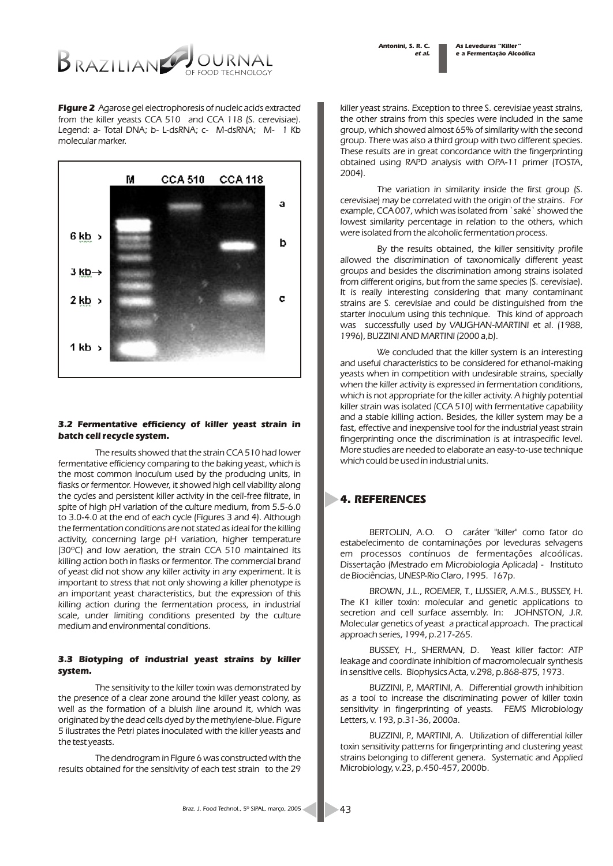*As Leveduras "Killer" e a Fermentação Alcoólica*



*Figure 2 Agarose gel electrophoresis of nucleic acids extracted from the killer yeasts CCA 510 and CCA 118 (S. cerevisiae). Legend: a- Total DNA; b- L-dsRNA; c- M-dsRNA; M- 1 Kb molecular marker.*



#### *3.2 Fermentative efficiency of killer yeast strain in batch cell recycle system.*

*The results showed that the strain CCA 510 had lower fermentative efficiency comparing to the baking yeast, which is the most common inoculum used by the producing units, in*  flasks or fermentor. However, it showed high cell viability along *the cycles and persistent killer activity in the cell-free filtrate, in spite of high pH variation of the culture medium, from 5.5-6.0 to 3.0-4.0 at the end of each cycle (Figures 3 and 4). Although the fermentation conditions are not stated as ideal for the killing activity, concerning large pH variation, higher temperature (30ºC) and low aeration, the strain CCA 510 maintained its killing action both in flasks or fermentor. The commercial brand of yeast did not show any killer activity in any experiment. It is important to stress that not only showing a killer phenotype is an important yeast characteristics, but the expression of this killing action during the fermentation process, in industrial scale, under limiting conditions presented by the culture medium and environmental conditions.*

#### *3.3 Biotyping of industrial yeast strains by killer system.*

*The sensitivity to the killer toxin was demonstrated by the presence of a clear zone around the killer yeast colony, as well as the formation of a bluish line around it, which was originated by the dead cells dyed by the methylene-blue. Figure 5 ilustrates the Petri plates inoculated with the killer yeasts and the test yeasts.*

*The dendrogram in Figure 6 was constructed with the results obtained for the sensitivity of each test strain to the 29* 

*killer yeast strains. Exception to three S. cerevisiae yeast strains, the other strains from this species were included in the same group, which showed almost 65% of similarity with the second group. There was also a third group with two different species. These results are in great concordance with the fingerprinting obtained using RAPD analysis with OPA-11 primer (TOSTA, 2004).*

*The variation in similarity inside the first group (S. cerevisiae) may be correlated with the origin of the strains. For example, CCA 007, which was isolated from `saké` showed the lowest similarity percentage in relation to the others, which were isolated from the alcoholic fermentation process.*

*By the results obtained, the killer sensitivity profile allowed the discrimination of taxonomically different yeast groups and besides the discrimination among strains isolated from different origins, but from the same species (S. cerevisiae). It is really interesting considering that many contaminant strains are S. cerevisiae and could be distinguished from the starter inoculum using this technique. This kind of approach was successfully used by VAUGHAN-MARTINI et al. (1988, 1996), BUZZINI AND MARTINI (2000 a,b).*

We concluded that the killer system is an interesting *and useful characteristics to be considered for ethanol-making yeasts when in competition with undesirable strains, specially when the killer activity is expressed in fermentation conditions,*  which is not appropriate for the killer activity. A highly potential *killer strain was isolated (CCA 510) with fermentative capability and a stable killing action. Besides, the killer system may be a fast, effective and inexpensive tool for the industrial yeast strain fingerprinting once the discrimination is at intraspecific level. More studies are needed to elaborate an easy-to-use technique which could be used in industrial units.*

# *4. REFERENCES*

*BERTOLIN, A.O. O caráter "killer" como fator do estabelecimento de contaminações por leveduras selvagens em processos contínuos de fermentações alcoólicas. Dissertação (Mestrado em Microbiologia Aplicada) - Instituto de Biociências, UNESP-Rio Claro, 1995. 167p.*

*BROWN, J.L., ROEMER, T., LUSSIER, A.M.S., BUSSEY, H. The K1 killer toxin: molecular and genetic applications to secretion and cell surface assembly. In: JOHNSTON, J.R. Molecular genetics of yeast a practical approach. The practical approach series, 1994, p.217-265.*

*BUSSEY, H., SHERMAN, D. Yeast killer factor: ATP leakage and coordinate inhibition of macromolecualr synthesis in sensitive cells. Biophysics Acta, v.298, p.868-875, 1973.*

*BUZZINI, P., MARTINI, A. Differential growth inhibition as a tool to increase the discriminating power of killer toxin sensitivity in fingerprinting of yeasts. FEMS Microbiology Letters, v. 193, p.31-36, 2000a.*

*BUZZINI, P., MARTINI, A. Utilization of differential killer toxin sensitivity patterns for fingerprinting and clustering yeast strains belonging to different genera. Systematic and Applied Microbiology, v.23, p.450-457, 2000b.*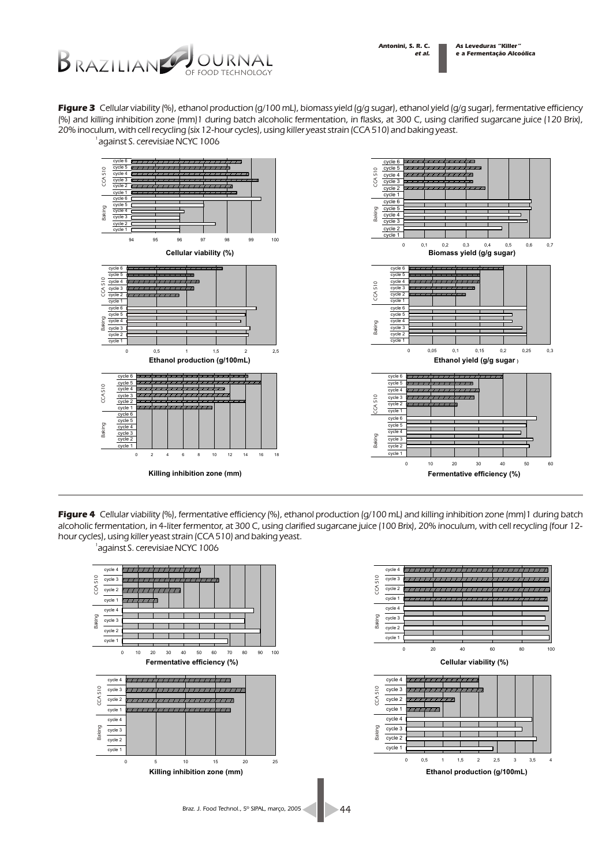

*Figure 3 Cellular viability (%), ethanol production (g/100 mL), biomass yield (g/g sugar), ethanol yield (g/g sugar), fermentative efficiency (%) and killing inhibition zone (mm)1 during batch alcoholic fermentation, in flasks, at 300 C, using clarified sugarcane juice (120 Brix), 20% inoculum, with cell recycling (six 12-hour cycles), using killer yeast strain (CCA 510) and baking yeast.*



*Figure 4 Cellular viability (%), fermentative efficiency (%), ethanol production (g/100 mL) and killing inhibition zone (mm)1 during batch alcoholic fermentation, in 4-liter fermentor, at 300 C, using clarified sugarcane juice (100 Brix), 20% inoculum, with cell recycling (four 12 hour cycles), using killer yeast strain (CCA 510) and baking yeast.*

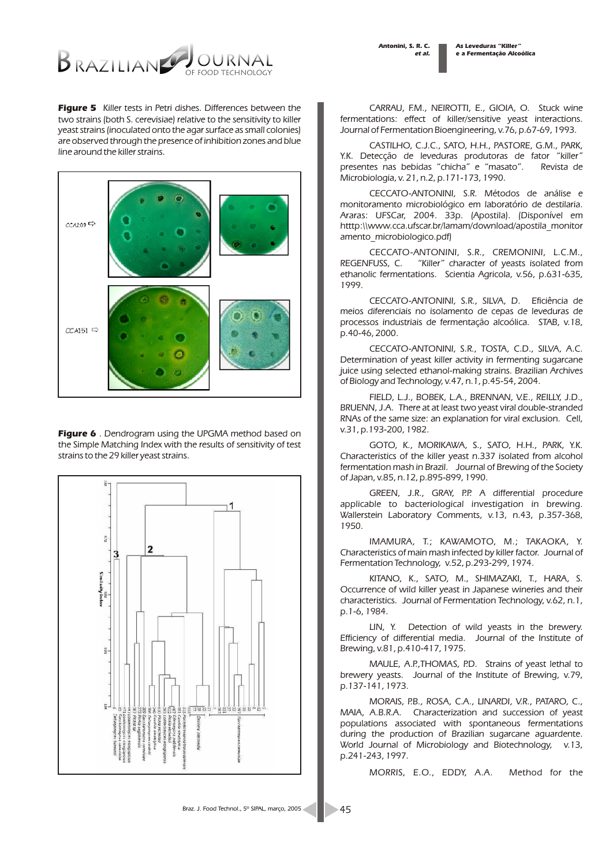*As Leveduras "Killer" e a Fermentação Alcoólica*



*Figure 5 Killer tests in Petri dishes. Differences between the two strains (both S. cerevisiae) relative to the sensitivity to killer yeast strains (inoculated onto the agar surface as small colonies) are observed through the presence of inhibition zones and blue line around the killer strains.*



*Figure 6 . Dendrogram using the UPGMA method based on the Simple Matching Index with the results of sensitivity of test strains to the 29 killer yeast strains.*



*CARRAU, F.M., NEIROTTI, E., GIOIA, O. Stuck wine fermentations: effect of killer/sensitive yeast interactions. Journal of Fermentation Bioengineering, v.76, p.67-69, 1993.*

*CASTILHO, C.J.C., SATO, H.H., PASTORE, G.M., PARK, Y.K. Detecção de leveduras produtoras de fator "killer" presentes nas bebidas "chicha" e "masato". Revista de Microbiologia, v. 21, n.2, p.171-173, 1990.*

*CECCATO-ANTONINI, S.R. Métodos de análise e monitoramento microbiológico em laboratório de destilaria. Araras: UFSCar, 2004. 33p. (Apostila). (Disponível em htttp:\\www.cca.ufscar.br/lamam/download/apostila\_monitor amento\_microbiologico.pdf)*

*CECCATO-ANTONINI, S.R., CREMONINI, L.C.M., REGENFUSS, C. "Killer" character of yeasts isolated from ethanolic fermentations. Scientia Agricola, v.56, p.631-635, 1999.*

*CECCATO-ANTONINI, S.R., SILVA, D. Eficiência de meios diferenciais no isolamento de cepas de leveduras de processos industriais de fermentação alcoólica. STAB, v.18, p.40-46, 2000.*

*CECCATO-ANTONINI, S.R., TOSTA, C.D., SILVA, A.C. Determination of yeast killer activity in fermenting sugarcane juice using selected ethanol-making strains. Brazilian Archives of Biology and Technology, v.47, n.1, p.45-54, 2004.*

*FIELD, L.J., BOBEK, L.A., BRENNAN, V.E., REILLY, J.D., BRUENN, J.A. There at at least two yeast viral double-stranded RNAs of the same size: an explanation for viral exclusion. Cell, v.31, p.193-200, 1982.*

*GOTO, K., MORIKAWA, S., SATO, H.H., PARK, Y.K. Characteristics of the killer yeast n.337 isolated from alcohol fermentation mash in Brazil. Journal of Brewing of the Society of Japan, v.85, n.12, p.895-899, 1990.*

GREEN, J.R., GRAY, P.P. A differential procedure *applicable to bacteriological investigation in brewing. Wallerstein Laboratory Comments, v.13, n.43, p.357-368, 1950.*

*IMAMURA, T.; KAWAMOTO, M.; TAKAOKA, Y. Characteristics of main mash infected by killer factor. Journal of Fermentation Technology, v.52, p.293-299, 1974.*

*KITANO, K., SATO, M., SHIMAZAKI, T., HARA, S. Occurrence of wild killer yeast in Japanese wineries and their characteristics. Journal of Fermentation Technology, v.62, n.1, p.1-6, 1984.*

*LIN, Y. Detection of wild yeasts in the brewery. Efficiency of differential media. Journal of the Institute of Brewing, v.81, p.410-417, 1975.*

*MAULE, A.P.,THOMAS, P.D. Strains of yeast lethal to brewery yeasts. Journal of the Institute of Brewing, v.79, p.137-141, 1973.*

*MORAIS, P.B., ROSA, C.A., LINARDI, V.R., PATARO, C., MAIA, A.B.R.A. Characterization and succession of yeast populations associated with spontaneous fermentations during the production of Brazilian sugarcane aguardente. World Journal of Microbiology and Biotechnology, v.13, p.241-243, 1997.*

*MORRIS, E.O., EDDY, A.A. Method for the*